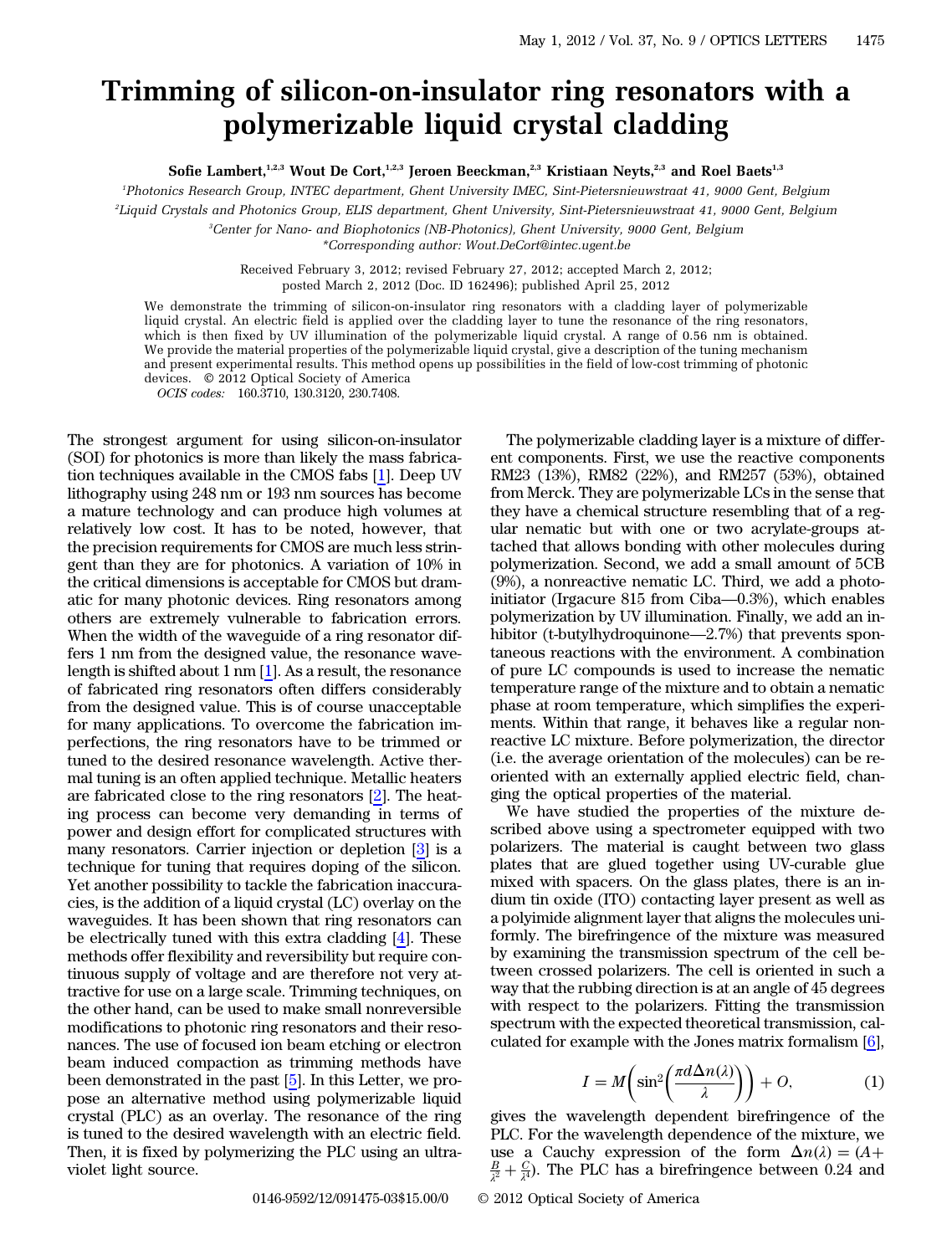## Trimming of silicon-on-insulator ring resonators with a polymerizable liquid crystal cladding

Sofie Lambert,<sup>1,2,3</sup> Wout De Cort,<sup>1,2,3</sup> Jeroen Beeckman,<sup>2,3</sup> Kristiaan Neyts,<sup>2,3</sup> and Roel Baets<sup>1,3</sup>

1 Photonics Research Group, INTEC department, Ghent University IMEC, Sint-Pietersnieuwstraat 41, 9000 Gent, Belgium

2 Liquid Crystals and Photonics Group, ELIS department, Ghent University, Sint-Pietersnieuwstraat 41, 9000 Gent, Belgium

3 Center for Nano- and Biophotonics (NB-Photonics), Ghent University, 9000 Gent, Belgium \*Corresponding author: Wout.DeCort@intec.ugent.be

Received February 3, 2012; revised February 27, 2012; accepted March 2, 2012; posted March 2, 2012 (Doc. ID 162496); published April 25, 2012

We demonstrate the trimming of silicon-on-insulator ring resonators with a cladding layer of polymerizable liquid crystal. An electric field is applied over the cladding layer to tune the resonance of the ring resonators, which is then fixed by UV illumination of the polymerizable liquid crystal. A range of 0.56 nm is obtained. We provide the material properties of the polymerizable liquid crystal, give a description of the tuning mechanism and present experimental results. This method opens up possibilities in the field of low-cost trimming of photonic devices. © 2012 Optical Society of America

OCIS codes: 160.3710, 130.3120, 230.7408.

The strongest argument for using silicon-on-insulator (SOI) for photonics is more than likely the mass fabrication techniques available in the CMOS fabs [[1\]](#page-2-0). Deep UV lithography using 248 nm or 193 nm sources has become a mature technology and can produce high volumes at relatively low cost. It has to be noted, however, that the precision requirements for CMOS are much less stringent than they are for photonics. A variation of 10% in the critical dimensions is acceptable for CMOS but dramatic for many photonic devices. Ring resonators among others are extremely vulnerable to fabrication errors. When the width of the waveguide of a ring resonator differs 1 nm from the designed value, the resonance wavelength is shifted about 1 nm [\[1](#page-2-0)]. As a result, the resonance of fabricated ring resonators often differs considerably from the designed value. This is of course unacceptable for many applications. To overcome the fabrication imperfections, the ring resonators have to be trimmed or tuned to the desired resonance wavelength. Active thermal tuning is an often applied technique. Metallic heaters are fabricated close to the ring resonators [\[2](#page-2-1)]. The heating process can become very demanding in terms of power and design effort for complicated structures with many resonators. Carrier injection or depletion [[3\]](#page-2-2) is a technique for tuning that requires doping of the silicon. Yet another possibility to tackle the fabrication inaccuracies, is the addition of a liquid crystal (LC) overlay on the waveguides. It has been shown that ring resonators can be electrically tuned with this extra cladding [[4\]](#page-2-3). These methods offer flexibility and reversibility but require continuous supply of voltage and are therefore not very attractive for use on a large scale. Trimming techniques, on the other hand, can be used to make small nonreversible modifications to photonic ring resonators and their resonances. The use of focused ion beam etching or electron beam induced compaction as trimming methods have been demonstrated in the past [\[5](#page-2-4)]. In this Letter, we propose an alternative method using polymerizable liquid crystal (PLC) as an overlay. The resonance of the ring is tuned to the desired wavelength with an electric field. Then, it is fixed by polymerizing the PLC using an ultraviolet light source.

The polymerizable cladding layer is a mixture of different components. First, we use the reactive components RM23 (13%), RM82 (22%), and RM257 (53%), obtained from Merck. They are polymerizable LCs in the sense that they have a chemical structure resembling that of a regular nematic but with one or two acrylate-groups atdia Thematic but what one of two acrylate-groups are<br>tached that allows bonding with other molecules during<br>polymerization. Second, we add a small amount of 5CB<br>(9%), a nonreactive nematic LC. Third, we add a photo-<br>initia polymerization. Second, we add a small amount of 5CB (9%), a nonreactive nematic LC. Third, we add a photo-<br>initiator (Irgacure 815 from Ciba—0.3%), which enables<br>polymerization by UV illumination. Finally, we add an in-<br>hibitor (t-butylhydroquinone—2.7%) that prevents sponpolymerization by UV illumination. Finally, we add an intaneous reactions with the environment. A combination of pure LC compounds is used to increase the nematic temperature range of the mixture and to obtain a nematic phase at room temperature, which simplifies the experiments. Within that range, it behaves like a regular nonreactive LC mixture. Before polymerization, the director (i.e. the average orientation of the molecules) can be reoriented with an externally applied electric field, changing the optical properties of the material.

We have studied the properties of the mixture described above using a spectrometer equipped with two polarizers. The material is caught between two glass plates that are glued together using UV-curable glue mixed with spacers. On the glass plates, there is an indium tin oxide (ITO) contacting layer present as well as a polyimide alignment layer that aligns the molecules uniformly. The birefringence of the mixture was measured by examining the transmission spectrum of the cell between crossed polarizers. The cell is oriented in such a way that the rubbing direction is at an angle of 45 degrees with respect to the polarizers. Fitting the transmission spectrum with the expected theoretical transmission, calculated for example with the Jones matrix formalism [\[6](#page-2-5)],

$$
I = M\left(\sin^2\left(\frac{\pi d \Delta n(\lambda)}{\lambda}\right)\right) + O,\tag{1}
$$

gives the wavelength dependent birefringence of the PLC. For the wavelength dependence of the mixture, we use a Cauchy expression of the form  $\Delta n(\lambda) = (A + B_0 \epsilon)$  $\frac{B}{\lambda^2} + \frac{C}{\lambda^4}$ ). The PLC has a birefringence between 0.24 and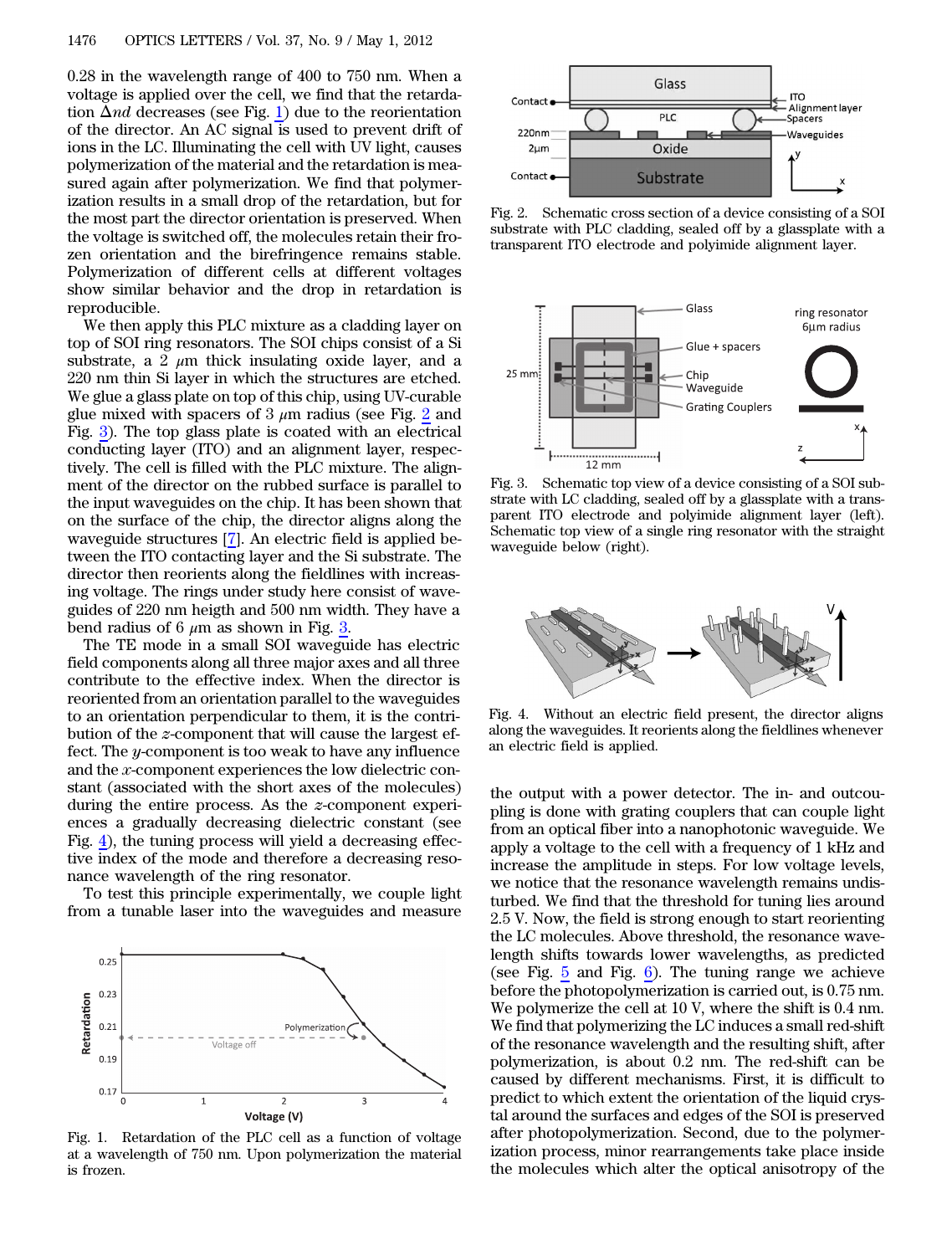0.28 in the wavelength range of 400 to 750 nm. When a voltage is applied over the cell, we find that the retardation  $\Delta nd$  decreases (see Fig. [1\)](#page-1-0) due to the reorientation of the director. An AC signal is used to prevent drift of ions in the LC. Illuminating the cell with UV light, causes polymerization of the material and the retardation is measured again after polymerization. We find that polymerization results in a small drop of the retardation, but for the most part the director orientation is preserved. When the voltage is switched off, the molecules retain their frozen orientation and the birefringence remains stable. Polymerization of different cells at different voltages show similar behavior and the drop in retardation is reproducible.

We then apply this PLC mixture as a cladding layer on top of SOI ring resonators. The SOI chips consist of a Si substrate, a 2  $\mu$ m thick insulating oxide layer, and a 220 nm thin Si layer in which the structures are etched. We glue a glass plate on top of this chip, using UV-curable glue mixed with spacers of 3  $\mu$ m radius (see Fig. [2](#page-1-1) and Fig. [3](#page-1-2)). The top glass plate is coated with an electrical conducting layer (ITO) and an alignment layer, respectively. The cell is filled with the PLC mixture. The alignment of the director on the rubbed surface is parallel to the input waveguides on the chip. It has been shown that on the surface of the chip, the director aligns along the waveguide structures [\[7](#page-2-6)]. An electric field is applied between the ITO contacting layer and the Si substrate. The director then reorients along the fieldlines with increasing voltage. The rings under study here consist of waveguides of 220 nm heigth and 500 nm width. They have a bend radius of 6  $\mu$ m as shown in Fig. [3.](#page-1-2)

The TE mode in a small SOI waveguide has electric field components along all three major axes and all three contribute to the effective index. When the director is reoriented from an orientation parallel to the waveguides to an orientation perpendicular to them, it is the contribution of the z-component that will cause the largest effect. The y-component is too weak to have any influence and the x-component experiences the low dielectric constant (associated with the short axes of the molecules) during the entire process. As the z-component experiences a gradually decreasing dielectric constant (see Fig. [4\)](#page-1-3), the tuning process will yield a decreasing effective index of the mode and therefore a decreasing resonance wavelength of the ring resonator.

To test this principle experimentally, we couple light from a tunable laser into the waveguides and measure

<span id="page-1-0"></span>

Fig. 1. Retardation of the PLC cell as a function of voltage at a wavelength of 750 nm. Upon polymerization the material is frozen.

<span id="page-1-1"></span>

Fig. 2. Schematic cross section of a device consisting of a SOI substrate with PLC cladding, sealed off by a glassplate with a transparent ITO electrode and polyimide alignment layer.

<span id="page-1-2"></span>

Fig. 3. Schematic top view of a device consisting of a SOI substrate with LC cladding, sealed off by a glassplate with a transparent ITO electrode and polyimide alignment layer (left). Schematic top view of a single ring resonator with the straight waveguide below (right).

<span id="page-1-3"></span>

Fig. 4. Without an electric field present, the director aligns along the waveguides. It reorients along the fieldlines whenever an electric field is applied.

the output with a power detector. The in- and outcoupling is done with grating couplers that can couple light from an optical fiber into a nanophotonic waveguide. We apply a voltage to the cell with a frequency of 1 kHz and increase the amplitude in steps. For low voltage levels, we notice that the resonance wavelength remains undisturbed. We find that the threshold for tuning lies around 2.5 V. Now, the field is strong enough to start reorienting the LC molecules. Above threshold, the resonance wavelength shifts towards lower wavelengths, as predicted (see Fig.  $5$  and Fig.  $6$ ). The tuning range we achieve before the photopolymerization is carried out, is 0.75 nm. We polymerize the cell at 10 V, where the shift is 0.4 nm. We find that polymerizing the LC induces a small red-shift of the resonance wavelength and the resulting shift, after polymerization, is about 0.2 nm. The red-shift can be caused by different mechanisms. First, it is difficult to predict to which extent the orientation of the liquid crystal around the surfaces and edges of the SOI is preserved after photopolymerization. Second, due to the polymerization process, minor rearrangements take place inside the molecules which alter the optical anisotropy of the